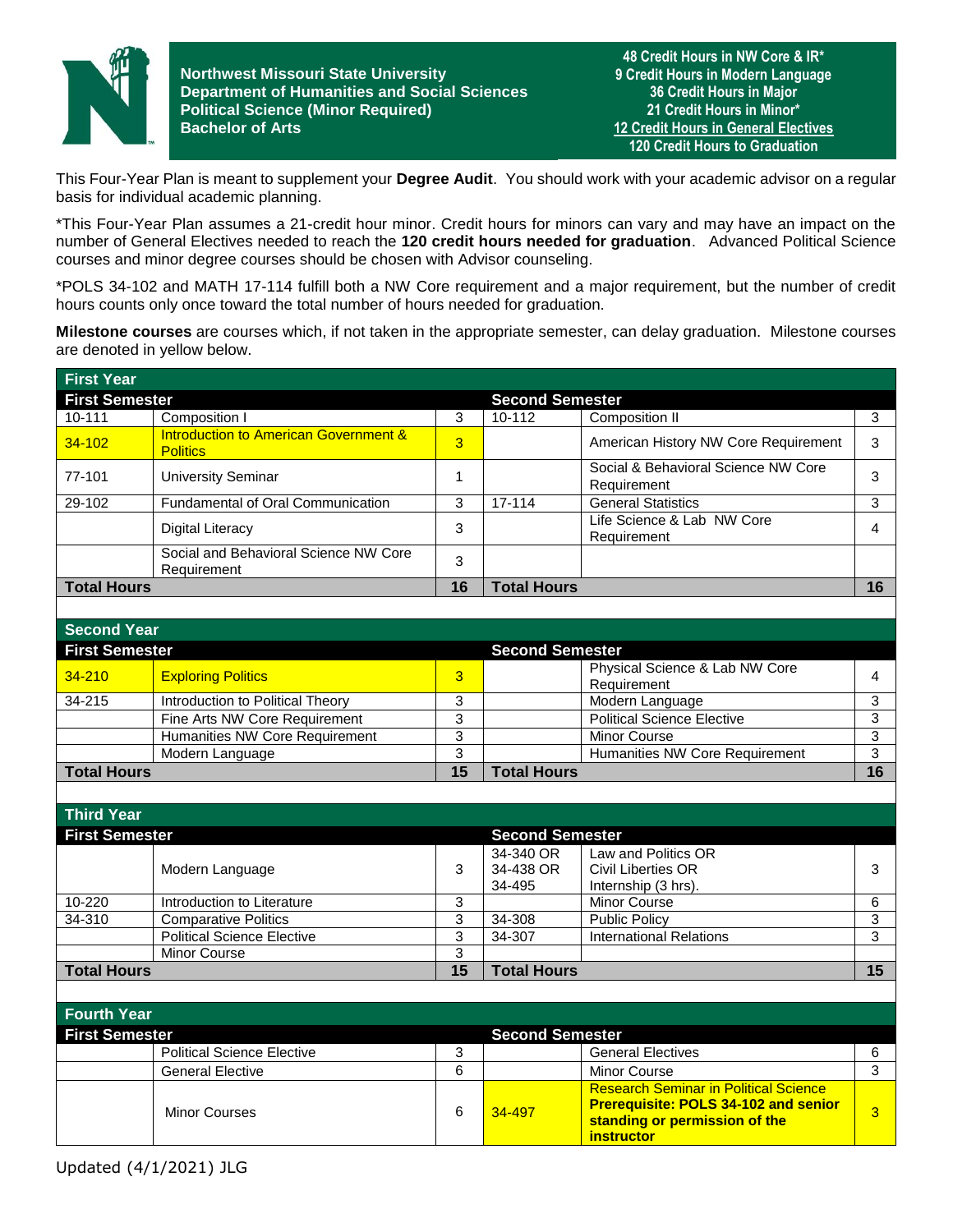

**Northwest Missouri State University Department of Humanities and Social Sciences Political Science (Minor Required) Bachelor of Arts**

**48 Credit Hours in NW Core & IR\* 9 Credit Hours in Modern Language 36 Credit Hours in Major 21 Credit Hours in Minor\* 12 Credit Hours in General Electives 120 Credit Hours to Graduation**

This Four-Year Plan is meant to supplement your **Degree Audit**. You should work with your academic advisor on a regular basis for individual academic planning.

\*This Four-Year Plan assumes a 21-credit hour minor. Credit hours for minors can vary and may have an impact on the number of General Electives needed to reach the **120 credit hours needed for graduation**. Advanced Political Science courses and minor degree courses should be chosen with Advisor counseling.

\*POLS 34-102 and MATH 17-114 fulfill both a NW Core requirement and a major requirement, but the number of credit hours counts only once toward the total number of hours needed for graduation.

**Milestone courses** are courses which, if not taken in the appropriate semester, can delay graduation. Milestone courses are denoted in yellow below.

| <b>First Year</b>     |                                                                     |    |                        |                                                    |    |
|-----------------------|---------------------------------------------------------------------|----|------------------------|----------------------------------------------------|----|
| <b>First Semester</b> |                                                                     |    | <b>Second Semester</b> |                                                    |    |
| 10-111                | Composition I                                                       | 3  | 10-112                 | Composition II                                     | 3  |
| $34 - 102$            | <b>Introduction to American Government &amp;</b><br><b>Politics</b> | 3  |                        | American History NW Core Requirement               | 3  |
| 77-101                | <b>University Seminar</b>                                           |    |                        | Social & Behavioral Science NW Core<br>Requirement | 3  |
| 29-102                | <b>Fundamental of Oral Communication</b>                            | 3  | $17 - 114$             | <b>General Statistics</b>                          | 3  |
|                       | <b>Digital Literacy</b>                                             | 3  |                        | Life Science & Lab NW Core<br>Requirement          | 4  |
|                       | Social and Behavioral Science NW Core<br>Requirement                | 3  |                        |                                                    |    |
| <b>Total Hours</b>    |                                                                     | 16 | <b>Total Hours</b>     |                                                    | 16 |
|                       |                                                                     |    |                        |                                                    |    |

| <b>Second Year</b>    |                                  |    |                        |                                               |    |
|-----------------------|----------------------------------|----|------------------------|-----------------------------------------------|----|
| <b>First Semester</b> |                                  |    | <b>Second Semester</b> |                                               |    |
| $34 - 210$            | <b>Exploring Politics</b>        | 3  |                        | Physical Science & Lab NW Core<br>Requirement |    |
| 34-215                | Introduction to Political Theory |    |                        | Modern Language                               |    |
|                       | Fine Arts NW Core Requirement    | っ  |                        | <b>Political Science Elective</b>             |    |
|                       | Humanities NW Core Requirement   |    |                        | <b>Minor Course</b>                           |    |
|                       | Modern Language                  | ว  |                        | Humanities NW Core Requirement                |    |
| <b>Total Hours</b>    |                                  | 15 | <b>Total Hours</b>     |                                               | 16 |

| <b>Third Year</b>     |                                   |    |                                  |                                                                  |    |
|-----------------------|-----------------------------------|----|----------------------------------|------------------------------------------------------------------|----|
| <b>First Semester</b> |                                   |    | <b>Second Semester</b>           |                                                                  |    |
|                       | Modern Language                   | 3  | 34-340 OR<br>34-438 OR<br>34-495 | Law and Politics OR<br>Civil Liberties OR<br>Internship (3 hrs). | 3  |
| $10 - 220$            | Introduction to Literature        | 3  |                                  | <b>Minor Course</b>                                              | 6  |
| 34-310                | <b>Comparative Politics</b>       | 3  | 34-308                           | <b>Public Policy</b>                                             | 3  |
|                       | <b>Political Science Elective</b> | 3  | 34-307                           | <b>International Relations</b>                                   | 3  |
|                       | Minor Course                      | 3  |                                  |                                                                  |    |
| <b>Total Hours</b>    |                                   | 15 | <b>Total Hours</b>               |                                                                  | 15 |

| <b>Fourth Year</b>    |                                   |   |                        |                                                                                                                                                   |   |  |
|-----------------------|-----------------------------------|---|------------------------|---------------------------------------------------------------------------------------------------------------------------------------------------|---|--|
| <b>First Semester</b> |                                   |   | <b>Second Semester</b> |                                                                                                                                                   |   |  |
|                       | <b>Political Science Elective</b> |   |                        | <b>General Electives</b>                                                                                                                          |   |  |
|                       | <b>General Elective</b>           | 6 |                        | Minor Course                                                                                                                                      | ົ |  |
|                       | <b>Minor Courses</b>              | 6 | 34-497                 | <b>Research Seminar in Political Science</b><br><b>Prerequisite: POLS 34-102 and senior</b><br>standing or permission of the<br><b>instructor</b> |   |  |